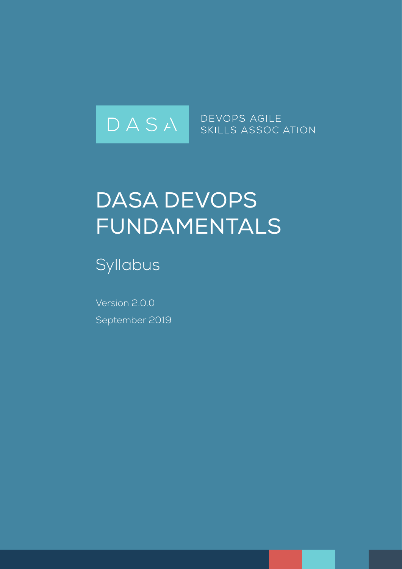

# DASA DevOps Fundamentals

Syllabus

Version 2.0.0 September 2019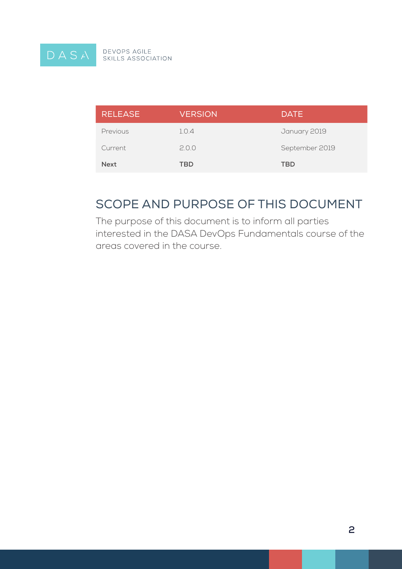

DEVOPS AGILE<br>SKILLS ASSOCIATION

| <b>RELEASE</b> | <b>VERSION</b> | <b>DATE</b>    |
|----------------|----------------|----------------|
| Previous       | 1.0.4          | January 2019   |
| Current        | 2.0.0          | September 2019 |
| <b>Next</b>    | TBD            | <b>TBD</b>     |

### Scope and Purpose of this Document

The purpose of this document is to inform all parties interested in the DASA DevOps Fundamentals course of the areas covered in the course.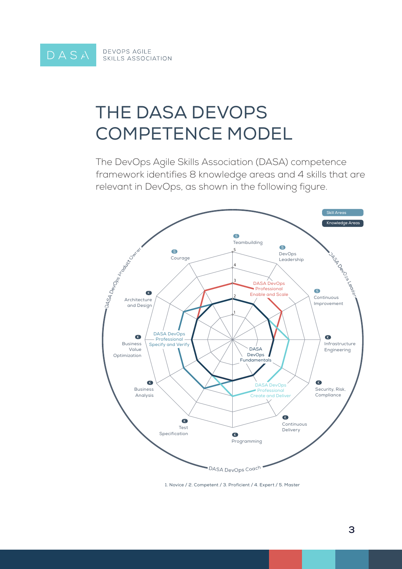# The DASA DevOps Competence Model

The DevOps Agile Skills Association (DASA) competence framework identifies 8 knowledge areas and 4 skills that are relevant in DevOps, as shown in the following figure.



1. Novice / 2. Competent / 3. Proficient / 4. Expert / 5. Master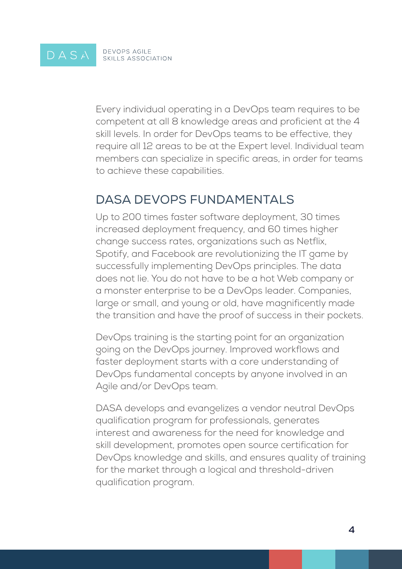#### DEVOPS AGILE<br>SKILLS ASSOCIATION DASA

Every individual operating in a DevOps team requires to be competent at all 8 knowledge areas and proficient at the 4 skill levels. In order for DevOps teams to be effective, they require all 12 areas to be at the Expert level. Individual team members can specialize in specific areas, in order for teams to achieve these capabilities.

### DASA DEVOPS FUNDAMENTALS

Up to 200 times faster software deployment, 30 times increased deployment frequency, and 60 times higher change success rates, organizations such as Netflix, Spotify, and Facebook are revolutionizing the IT game by successfully implementing DevOps principles. The data does not lie. You do not have to be a hot Web company or a monster enterprise to be a DevOps leader. Companies, large or small, and young or old, have magnificently made the transition and have the proof of success in their pockets.

DevOps training is the starting point for an organization going on the DevOps journey. Improved workflows and faster deployment starts with a core understanding of DevOps fundamental concepts by anyone involved in an Agile and/or DevOps team.

DASA develops and evangelizes a vendor neutral DevOps qualification program for professionals, generates interest and awareness for the need for knowledge and skill development, promotes open source certification for DevOps knowledge and skills, and ensures quality of training for the market through a logical and threshold-driven qualification program.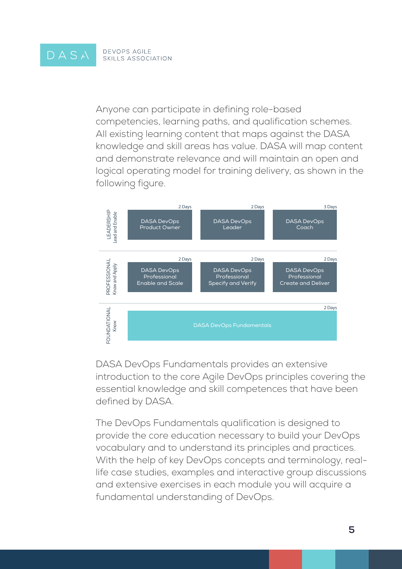Anyone can participate in defining role-based competencies, learning paths, and qualification schemes. All existing learning content that maps against the DASA knowledge and skill areas has value. DASA will map content and demonstrate relevance and will maintain an open and logical operating model for training delivery, as shown in the following figure.



DASA DevOps Fundamentals provides an extensive introduction to the core Agile DevOps principles covering the essential knowledge and skill competences that have been defined by DASA.

The DevOps Fundamentals qualification is designed to provide the core education necessary to build your DevOps vocabulary and to understand its principles and practices. With the help of key DevOps concepts and terminology, reallife case studies, examples and interactive group discussions and extensive exercises in each module you will acquire a fundamental understanding of DevOps.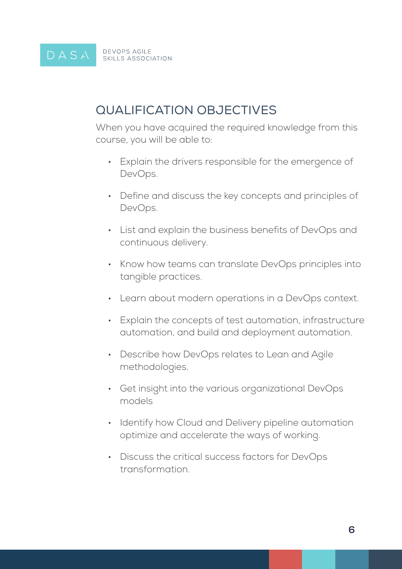#### **DEVOPS AGILE** DASA SKILLS ASSOCIATION

### Qualification Objectives

When you have acquired the required knowledge from this course, you will be able to:

- • Explain the drivers responsible for the emergence of DevOps.
- Define and discuss the key concepts and principles of DevOps.
- List and explain the business benefits of DevOps and continuous delivery.
- Know how teams can translate DevOps principles into tangible practices.
- Learn about modern operations in a DevOps context.
- • Explain the concepts of test automation, infrastructure automation, and build and deployment automation.
- Describe how DevOps relates to Lean and Agile methodologies.
- Get insight into the various organizational DevOps models
- Identify how Cloud and Delivery pipeline automation optimize and accelerate the ways of working.
- • Discuss the critical success factors for DevOps transformation.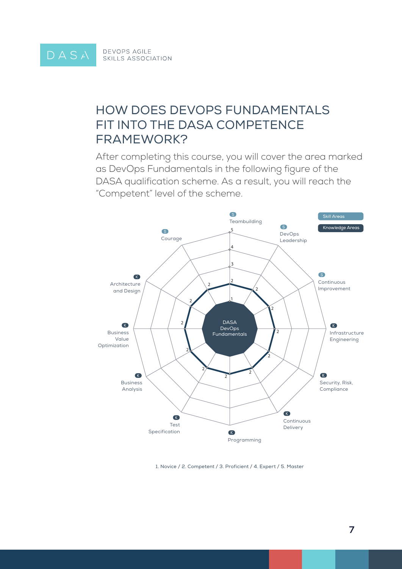### How does DevOps Fundamentals fit into the DASA Competence Framework?

After completing this course, you will cover the area marked as DevOps Fundamentals in the following figure of the DASA qualification scheme. As a result, you will reach the "Competent" level of the scheme.



1. Novice / 2. Competent / 3. Proficient / 4. Expert / 5. Master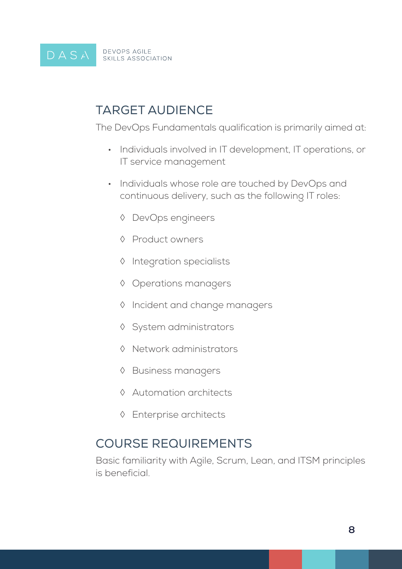

### Target Audience

The DevOps Fundamentals qualification is primarily aimed at:

- Individuals involved in IT development, IT operations, or IT service management
- Individuals whose role are touched by DevOps and continuous delivery, such as the following IT roles:
	- ◊ DevOps engineers
	- ◊ Product owners
	- ◊ Integration specialists
	- ◊ Operations managers
	- ◊ Incident and change managers
	- ◊ System administrators
	- ◊ Network administrators
	- ◊ Business managers
	- ◊ Automation architects
	- ◊ Enterprise architects

### Course Requirements

Basic familiarity with Agile, Scrum, Lean, and ITSM principles is beneficial.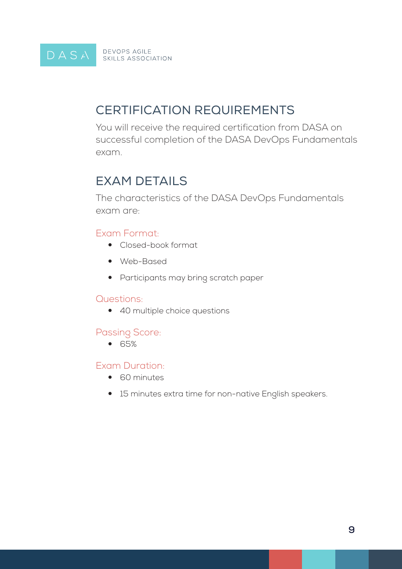D A S A BEVOPS AGILE

### Certification Requirements

You will receive the required certification from DASA on successful completion of the DASA DevOps Fundamentals exam.

# **FXAM DETAILS**

The characteristics of the DASA DevOps Fundamentals exam are:

### Exam Format:

- Closed-book format
- Web-Based
- Participants may bring scratch paper

#### Questions:

• 40 multiple choice questions

### Passing Score:

 $• 65%$ 

### Exam Duration:

- 60 minutes
- 15 minutes extra time for non-native English speakers.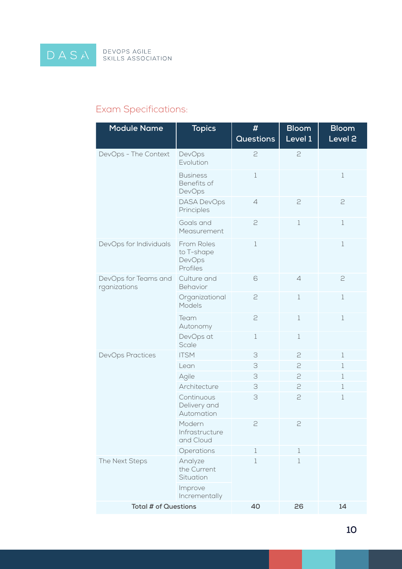DASA

### Exam Specifications:

| <b>Module Name</b>                   | <b>Topics</b>                                  | #<br><b>Questions</b> | <b>Bloom</b><br>Level 1 | <b>Bloom</b><br>Level <sub>2</sub> |
|--------------------------------------|------------------------------------------------|-----------------------|-------------------------|------------------------------------|
| DevOps - The Context                 | DevOps<br>Evolution                            | 2                     | 2                       |                                    |
|                                      | <b>Business</b><br>Benefits of<br>DevOps       | $1\,$                 |                         | $\,1$                              |
|                                      | <b>DASA DevOps</b><br>Principles               | $\varDelta$           | $\geq$                  | 2                                  |
|                                      | Goals and<br>Measurement                       | 2                     | $\mathbf 1$             | $\mathbf 1$                        |
| DevOps for Individuals               | From Roles<br>to T-shape<br>DevOps<br>Profiles | $1\,$                 |                         | $1\,$                              |
| DevOps for Teams and<br>rganizations | Culture and<br>Behavior                        | 6                     | $\overline{4}$          | 2                                  |
|                                      | Organizational<br>Models                       | $\geq$                | $1\,$                   | $\mathbf 1$                        |
|                                      | Team<br>Autonomy                               | 2                     | $\mathbf 1$             | $1\,$                              |
|                                      | DevOps at<br>Scale                             | $\mathbf 1$           | $1\,$                   |                                    |
| <b>DevOps Practices</b>              | <b>ITSM</b>                                    | 3                     | 2                       | $1\,$                              |
|                                      | Lean                                           | 3                     | 2                       | $\mathbf 1$                        |
|                                      | Agile                                          | 3                     | 2                       | $\mathbf 1$                        |
|                                      | Architecture                                   | 3                     | 2                       | $\mathbf 1$                        |
|                                      | Continuous<br>Delivery and<br>Automation       | 3                     | 2                       | $1\,$                              |
|                                      | Modern<br>Infrastructure<br>and Cloud          | 2                     | $\supseteq$             |                                    |
|                                      | Operations                                     | 1                     | $\mathbf 1$             |                                    |
| The Next Steps                       | Analyze<br>the Current<br>Situation            | 1                     | $\mathbf 1$             |                                    |
|                                      | Improve<br>Incrementally                       |                       |                         |                                    |
| <b>Total # of Questions</b>          |                                                | 40                    | 26                      | 14                                 |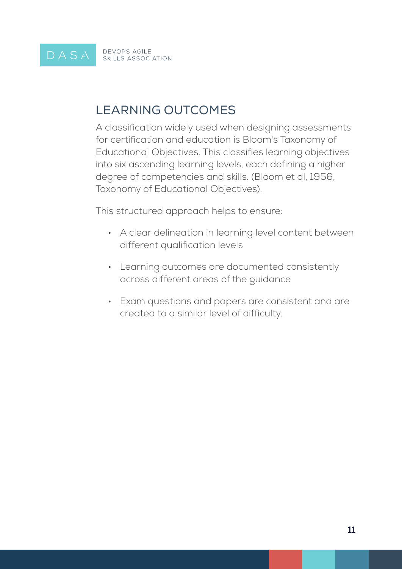#### DEVOPS AGILE<br>SKILLS ASSOCIATION DASA

### Learning Outcomes

A classification widely used when designing assessments for certification and education is Bloom's Taxonomy of Educational Objectives. This classifies learning objectives into six ascending learning levels, each defining a higher degree of competencies and skills. (Bloom et al, 1956, Taxonomy of Educational Objectives).

This structured approach helps to ensure:

- A clear delineation in learning level content between different qualification levels
- • Learning outcomes are documented consistently across different areas of the guidance
- • Exam questions and papers are consistent and are created to a similar level of difficulty.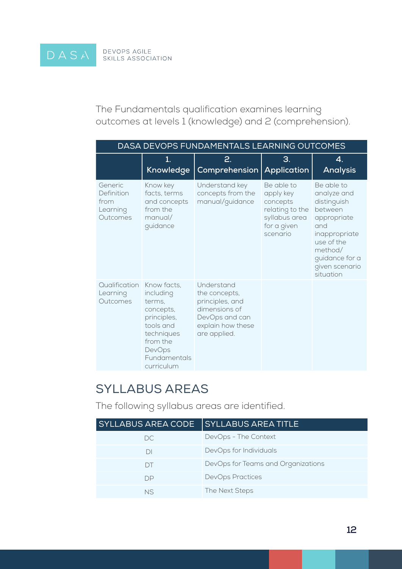The Fundamentals qualification examines learning outcomes at levels 1 (knowledge) and 2 (comprehension).

| DASA DEVOPS FUNDAMENTALS LEARNING OUTCOMES            |                                                                                                                                               |                                                                                                                        |                                                                                                    |                                                                                                                                                                      |
|-------------------------------------------------------|-----------------------------------------------------------------------------------------------------------------------------------------------|------------------------------------------------------------------------------------------------------------------------|----------------------------------------------------------------------------------------------------|----------------------------------------------------------------------------------------------------------------------------------------------------------------------|
|                                                       | 1.<br>Knowledge                                                                                                                               | 2.<br>Comprehension                                                                                                    | 3.<br><b>Application</b>                                                                           | 4.<br><b>Analysis</b>                                                                                                                                                |
| Generic<br>Definition<br>from<br>Learning<br>Outcomes | Know key<br>facts, terms<br>and concepts<br>from the<br>manual/<br>guidance                                                                   | Understand key<br>concepts from the<br>manual/guidance                                                                 | Be able to<br>apply key<br>concepts<br>relating to the<br>syllabus area<br>for a given<br>scenario | Be able to<br>analyze and<br>distinguish<br>between<br>appropriate<br>and<br>inappropriate<br>use of the<br>method/<br>guidance for a<br>given scenario<br>situation |
| Qualification<br>Learning<br>Outcomes                 | Know facts,<br>including<br>terms.<br>concepts,<br>principles,<br>tools and<br>techniques<br>from the<br>DevOps<br>Fundamentals<br>curriculum | Understand<br>the concepts,<br>principles, and<br>dimensions of<br>DevOps and can<br>explain how these<br>are applied. |                                                                                                    |                                                                                                                                                                      |

### Syllabus Areas

The following syllabus areas are identified.

| <b>SYLLABUS AREA CODE</b> | <b>SYLLABUS AREA TITLE</b>         |
|---------------------------|------------------------------------|
| DC.                       | DevOps - The Context               |
| DI                        | DevOps for Individuals             |
| DТ                        | DevOps for Teams and Organizations |
| DP                        | <b>DevOps Practices</b>            |
| NS.                       | The Next Steps                     |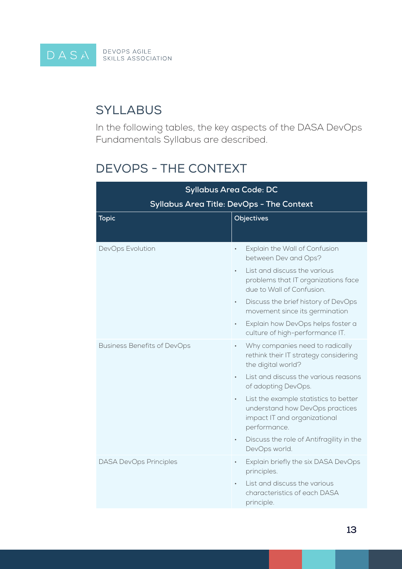

### **SYLLABUS**

In the following tables, the key aspects of the DASA DevOps Fundamentals Syllabus are described.

### DevOps - The Context

| <b>Syllabus Area Code: DC</b>                    |                                                                                                                                                                                                                                                              |  |
|--------------------------------------------------|--------------------------------------------------------------------------------------------------------------------------------------------------------------------------------------------------------------------------------------------------------------|--|
| <b>Syllabus Area Title: DevOps - The Context</b> |                                                                                                                                                                                                                                                              |  |
| <b>Topic</b>                                     | Objectives                                                                                                                                                                                                                                                   |  |
| DevOps Evolution                                 | Explain the Wall of Confusion<br>between Dev and Ops?<br>List and discuss the various<br>$\bullet$<br>problems that IT organizations face<br>due to Wall of Confusion.<br>Discuss the brief history of DevOps<br>$\bullet$<br>movement since its germination |  |
|                                                  | Explain how DevOps helps foster a<br>$\bullet$<br>culture of high-performance IT.                                                                                                                                                                            |  |
| <b>Business Benefits of DevOps</b>               | Why companies need to radically<br>rethink their IT strategy considering<br>the digital world?                                                                                                                                                               |  |
|                                                  | List and discuss the various reasons<br>of adopting DevOps.                                                                                                                                                                                                  |  |
|                                                  | List the example statistics to better<br>$\bullet$<br>understand how DevOps practices<br>impact IT and organizational<br>performance.                                                                                                                        |  |
|                                                  | Discuss the role of Antifragility in the<br>DevOps world.                                                                                                                                                                                                    |  |
| <b>DASA DevOps Principles</b>                    | Explain briefly the six DASA DevOps<br>$\bullet$<br>principles.                                                                                                                                                                                              |  |
|                                                  | List and discuss the various<br>characteristics of each DASA<br>principle.                                                                                                                                                                                   |  |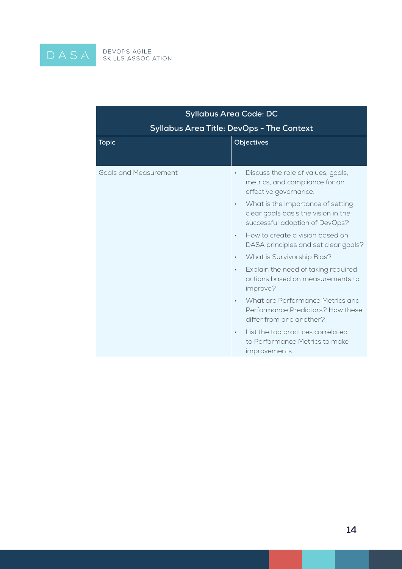

| <b>Syllabus Area Code: DC</b>                    |                                                                                                                         |  |
|--------------------------------------------------|-------------------------------------------------------------------------------------------------------------------------|--|
| <b>Syllabus Area Title: DevOps - The Context</b> |                                                                                                                         |  |
| <b>Topic</b>                                     | Objectives                                                                                                              |  |
| <b>Goals and Measurement</b>                     | Discuss the role of values, goals,<br>$\bullet$<br>metrics, and compliance for an<br>effective governance.              |  |
|                                                  | What is the importance of setting<br>$\bullet$<br>clear goals basis the vision in the<br>successful adoption of DevOps? |  |
|                                                  | How to create a vision based on<br>$\bullet$<br>DASA principles and set clear goals?                                    |  |
|                                                  | What is Survivorship Bias?<br>$\bullet$                                                                                 |  |
|                                                  | Explain the need of taking required<br>$\bullet$<br>actions based on measurements to<br>improve?                        |  |
|                                                  | What are Performance Metrics and<br>$\bullet$<br>Performance Predictors? How these<br>differ from one another?          |  |
|                                                  | List the top practices correlated<br>$\bullet$<br>to Performance Metrics to make<br>improvements.                       |  |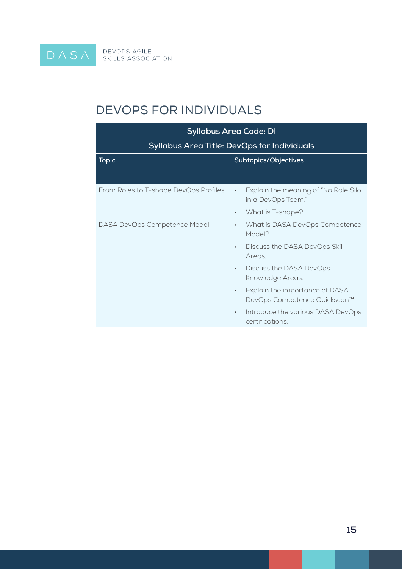$\overline{\text{D A S A}}$  Devops agile

### DevOps for Individuals

| <b>Syllabus Area Code: DI</b>                      |                                                                              |  |
|----------------------------------------------------|------------------------------------------------------------------------------|--|
| <b>Syllabus Area Title: DevOps for Individuals</b> |                                                                              |  |
| <b>Topic</b>                                       | Subtopics/Objectives                                                         |  |
| From Roles to T-shape DevOps Profiles              | Explain the meaning of "No Role Silo<br>$\bullet$<br>in a DevOps Team."      |  |
|                                                    | What is T-shape?<br>$\bullet$                                                |  |
| DASA DevOps Competence Model                       | What is DASA DevOps Competence<br>$\bullet$<br>Model?                        |  |
|                                                    | Discuss the DASA DevOps Skill<br>$\bullet$<br>Areas.                         |  |
|                                                    | Discuss the DASA DevOps<br>$\bullet$<br>Knowledge Areas.                     |  |
|                                                    | Explain the importance of DASA<br>$\bullet$<br>DevOps Competence Quickscan™. |  |
|                                                    | Introduce the various DASA DevOps<br>$\bullet$<br>certifications.            |  |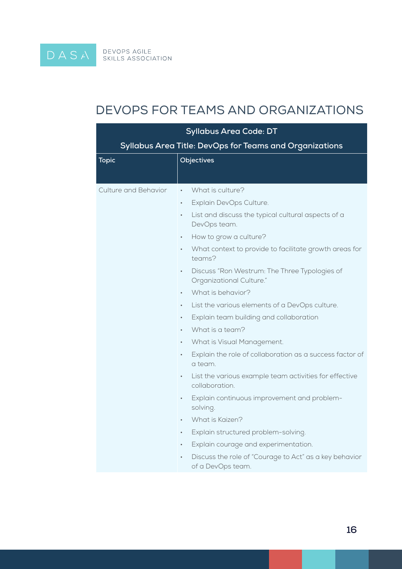DEVOPS AGILE<br>SKILLS ASSOCIATION

DASA

### DevOps for Teams and Organizations

| <b>Syllabus Area Code: DT</b>                           |                                                                                        |
|---------------------------------------------------------|----------------------------------------------------------------------------------------|
| Syllabus Area Title: DevOps for Teams and Organizations |                                                                                        |
| <b>Topic</b>                                            | Objectives                                                                             |
|                                                         |                                                                                        |
| <b>Culture and Behavior</b>                             | What is culture?<br>$\bullet$                                                          |
|                                                         | Explain DevOps Culture.<br>$\bullet$                                                   |
|                                                         | List and discuss the typical cultural aspects of a<br>$\bullet$<br>DevOps team.        |
|                                                         | How to grow a culture?<br>$\bullet$                                                    |
|                                                         | What context to provide to facilitate growth areas for<br>$\bullet$<br>teams?          |
|                                                         | Discuss "Ron Westrum: The Three Typologies of<br>$\bullet$<br>Organizational Culture." |
|                                                         | What is behavior?<br>$\bullet$                                                         |
|                                                         | List the various elements of a DevOps culture.<br>$\bullet$                            |
|                                                         | Explain team building and collaboration<br>$\bullet$                                   |
|                                                         | What is a team?<br>$\bullet$                                                           |
|                                                         | What is Visual Management.<br>$\bullet$                                                |
|                                                         | Explain the role of collaboration as a success factor of<br>$\bullet$<br>a team.       |
|                                                         | List the various example team activities for effective<br>$\bullet$<br>collaboration.  |
|                                                         | Explain continuous improvement and problem-<br>$\bullet$<br>solving.                   |
|                                                         | What is Kaizen?<br>$\bullet$                                                           |
|                                                         | Explain structured problem-solving.<br>$\bullet$                                       |
|                                                         | Explain courage and experimentation.<br>$\bullet$                                      |
|                                                         | Discuss the role of "Courage to Act" as a key behavior<br>of a DevOps team.            |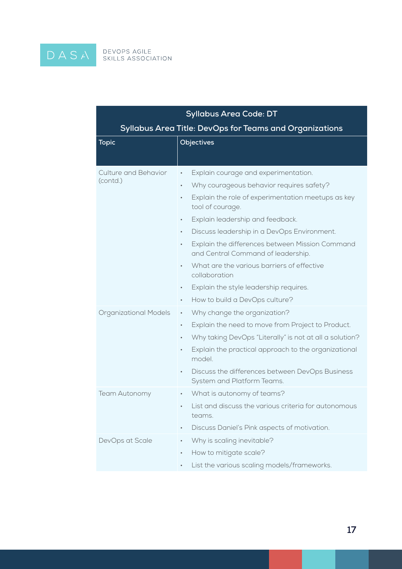DASA

| <b>Syllabus Area Code: DT</b>                           |                                                                                                                                                                                                                                                                                                                                                                                                                                                                                                                                         |  |
|---------------------------------------------------------|-----------------------------------------------------------------------------------------------------------------------------------------------------------------------------------------------------------------------------------------------------------------------------------------------------------------------------------------------------------------------------------------------------------------------------------------------------------------------------------------------------------------------------------------|--|
| Syllabus Area Title: DevOps for Teams and Organizations |                                                                                                                                                                                                                                                                                                                                                                                                                                                                                                                                         |  |
| <b>Topic</b>                                            | <b>Objectives</b>                                                                                                                                                                                                                                                                                                                                                                                                                                                                                                                       |  |
|                                                         |                                                                                                                                                                                                                                                                                                                                                                                                                                                                                                                                         |  |
| <b>Culture and Behavior</b><br>(contd.)                 | Explain courage and experimentation.<br>$\bullet$<br>Why courageous behavior requires safety?<br>$\bullet$<br>Explain the role of experimentation meetups as key<br>$\bullet$<br>tool of courage.<br>Explain leadership and feedback.<br>٠<br>Discuss leadership in a DevOps Environment.<br>$\bullet$<br>Explain the differences between Mission Command<br>٠<br>and Central Command of leadership.<br>What are the various barriers of effective<br>$\bullet$<br>collaboration<br>Explain the style leadership requires.<br>$\bullet$ |  |
| Organizational Models                                   | How to build a DevOps culture?<br>$\bullet$<br>Why change the organization?<br>$\bullet$<br>Explain the need to move from Project to Product.<br>$\bullet$<br>Why taking DevOps "Literally" is not at all a solution?<br>$\bullet$<br>Explain the practical approach to the organizational<br>٠<br>model.<br>Discuss the differences between DevOps Business<br>$\bullet$<br>System and Platform Teams.                                                                                                                                 |  |
| Team Autonomy                                           | What is autonomy of teams?<br>$\bullet$<br>List and discuss the various criteria for autonomous<br>teams.<br>Discuss Daniel's Pink aspects of motivation.<br>۰                                                                                                                                                                                                                                                                                                                                                                          |  |
| DevOps at Scale                                         | Why is scaling inevitable?<br>$\bullet$<br>How to mitigate scale?<br>٠<br>List the various scaling models/frameworks.<br>۰                                                                                                                                                                                                                                                                                                                                                                                                              |  |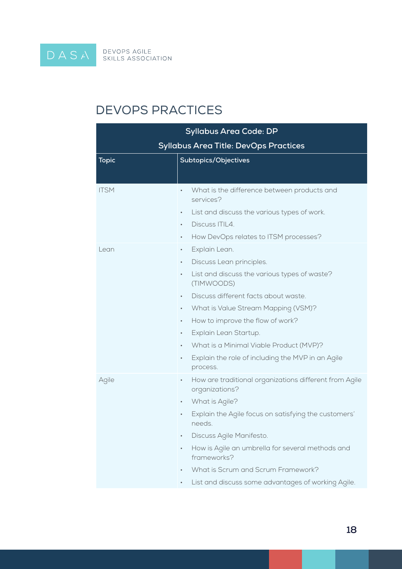$\overline{\text{D A S A}}$  Devops agile

## DevOps Practices

| <b>Syllabus Area Code: DP</b>                |                                                                               |  |
|----------------------------------------------|-------------------------------------------------------------------------------|--|
| <b>Syllabus Area Title: DevOps Practices</b> |                                                                               |  |
| <b>Topic</b>                                 | Subtopics/Objectives                                                          |  |
|                                              |                                                                               |  |
| <b>ITSM</b>                                  | What is the difference between products and<br>$\bullet$<br>services?         |  |
|                                              | List and discuss the various types of work.<br>$\bullet$                      |  |
|                                              | Discuss ITIL4.<br>$\bullet$                                                   |  |
|                                              | How DevOps relates to ITSM processes?<br>$\bullet$                            |  |
| Lean                                         | Explain Lean.<br>$\bullet$                                                    |  |
|                                              | Discuss Lean principles.<br>٠                                                 |  |
|                                              | List and discuss the various types of waste?<br>$\bullet$<br>(TIMWOODS)       |  |
|                                              | Discuss different facts about waste.<br>$\bullet$                             |  |
|                                              | What is Value Stream Mapping (VSM)?<br>$\bullet$                              |  |
|                                              | How to improve the flow of work?<br>$\bullet$                                 |  |
|                                              | Explain Lean Startup.<br>$\bullet$                                            |  |
|                                              | What is a Minimal Viable Product (MVP)?<br>$\bullet$                          |  |
|                                              | Explain the role of including the MVP in an Agile<br>$\bullet$<br>process.    |  |
| Agile                                        | How are traditional organizations different from Agile<br>۰<br>organizations? |  |
|                                              | What is Agile?<br>$\bullet$                                                   |  |
|                                              | Explain the Agile focus on satisfying the customers'<br>needs.                |  |
|                                              | Discuss Agile Manifesto.                                                      |  |
|                                              | How is Agile an umbrella for several methods and<br>$\bullet$<br>frameworks?  |  |
|                                              | What is Scrum and Scrum Framework?                                            |  |
|                                              | List and discuss some advantages of working Agile.                            |  |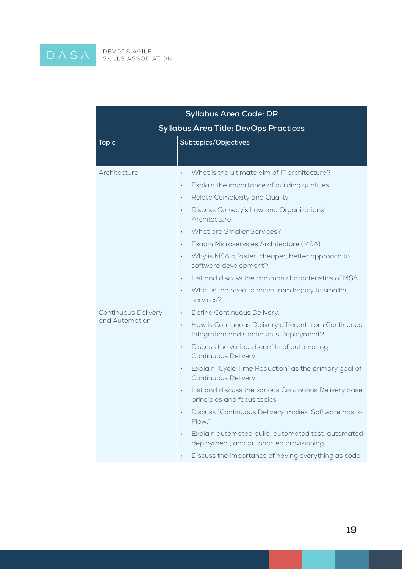$\begin{array}{c} D \land S \land \\ \end{array}$ 

| <b>Syllabus Area Code: DP</b>                |                                                                                                             |  |
|----------------------------------------------|-------------------------------------------------------------------------------------------------------------|--|
| <b>Syllabus Area Title: DevOps Practices</b> |                                                                                                             |  |
| <b>Topic</b>                                 | Subtopics/Objectives                                                                                        |  |
|                                              |                                                                                                             |  |
| Architecture                                 | What is the ultimate aim of IT architecture?<br>$\bullet$                                                   |  |
|                                              | Explain the importance of building qualities.<br>$\bullet$                                                  |  |
|                                              | Relate Complexity and Quality.<br>$\bullet$                                                                 |  |
|                                              | Discuss Conway's Law and Organizations'<br>$\bullet$<br>Architecture.                                       |  |
|                                              | <b>What are Smaller Services?</b><br>$\bullet$                                                              |  |
|                                              | Exapin Microservices Architecture (MSA).<br>$\bullet$                                                       |  |
|                                              | Why is MSA a faster, cheaper, better approach to<br>$\bullet$<br>software development?                      |  |
|                                              | List and discuss the common characteristics of MSA.<br>$\bullet$                                            |  |
|                                              | What is the need to move from legacy to smaller<br>$\bullet$<br>services?                                   |  |
| <b>Continuous Delivery</b>                   | Define Continuous Delivery.<br>$\bullet$                                                                    |  |
| and Automation                               | How is Continuous Delivery different from Continuous<br>$\bullet$<br>Integration and Continuous Deployment? |  |
|                                              | Discuss the various benefits of automating<br>$\bullet$<br>Continuous Delivery.                             |  |
|                                              | Explain "Cycle Time Reduction" as the primary goal of<br>$\bullet$<br>Continuous Delivery.                  |  |
|                                              | List and discuss the various Continuous Delivery base<br>$\bullet$<br>principles and focus topics.          |  |
|                                              | Discuss "Continuous Delivery Implies: Software has to<br>Flow."                                             |  |
|                                              | Explain automated build, automated test, automated<br>$\bullet$<br>deployment, and automated provisioning.  |  |
|                                              | Discuss the importance of having everything as code.                                                        |  |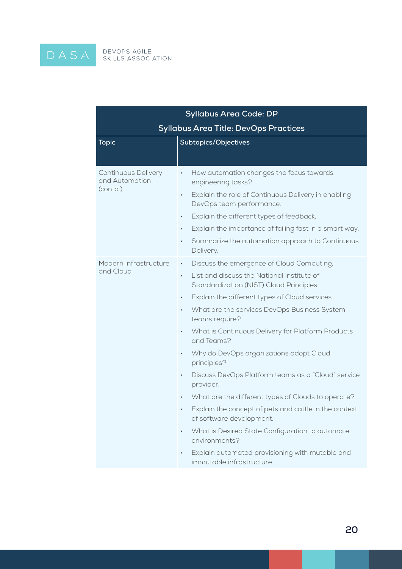DASA

|                                                          | <b>Syllabus Area Code: DP</b>                                                                                                                                                                                                                                                                                                                                                                                                                                                                                                                                                                                                                                                                                                                                                                                                                                       |  |
|----------------------------------------------------------|---------------------------------------------------------------------------------------------------------------------------------------------------------------------------------------------------------------------------------------------------------------------------------------------------------------------------------------------------------------------------------------------------------------------------------------------------------------------------------------------------------------------------------------------------------------------------------------------------------------------------------------------------------------------------------------------------------------------------------------------------------------------------------------------------------------------------------------------------------------------|--|
| <b>Syllabus Area Title: DevOps Practices</b>             |                                                                                                                                                                                                                                                                                                                                                                                                                                                                                                                                                                                                                                                                                                                                                                                                                                                                     |  |
| <b>Topic</b>                                             | Subtopics/Objectives                                                                                                                                                                                                                                                                                                                                                                                                                                                                                                                                                                                                                                                                                                                                                                                                                                                |  |
| <b>Continuous Delivery</b><br>and Automation<br>(contd.) | How automation changes the focus towards<br>$\bullet$<br>engineering tasks?<br>Explain the role of Continuous Delivery in enabling<br>$\bullet$<br>DevOps team performance.<br>Explain the different types of feedback.<br>٠<br>Explain the importance of failing fast in a smart way.<br>$\bullet$<br>Summarize the automation approach to Continuous<br>٠<br>Delivery.                                                                                                                                                                                                                                                                                                                                                                                                                                                                                            |  |
| Modern Infrastructure<br>and Cloud                       | Discuss the emergence of Cloud Computing.<br>$\bullet$<br>List and discuss the National Institute of<br>$\bullet$<br>Standardization (NIST) Cloud Principles.<br>Explain the different types of Cloud services.<br>٠<br>What are the services DevOps Business System<br>$\bullet$<br>teams require?<br>What is Continuous Delivery for Platform Products<br>$\bullet$<br>and Teams?<br>Why do DevOps organizations adopt Cloud<br>$\bullet$<br>principles?<br>Discuss DevOps Platform teams as a "Cloud" service<br>$\bullet$<br>provider.<br>What are the different types of Clouds to operate?<br>Explain the concept of pets and cattle in the context<br>of software development.<br>What is Desired State Configuration to automate<br>$\bullet$<br>environments?<br>Explain automated provisioning with mutable and<br>$\bullet$<br>immutable infrastructure. |  |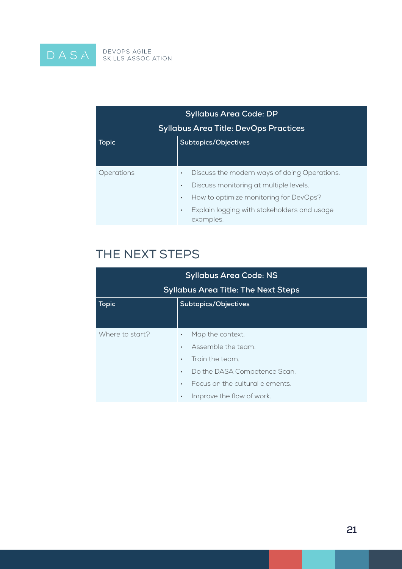

| <b>Syllabus Area Code: DP</b>                |                                                                       |
|----------------------------------------------|-----------------------------------------------------------------------|
| <b>Syllabus Area Title: DevOps Practices</b> |                                                                       |
| <b>Topic</b>                                 | Subtopics/Objectives                                                  |
|                                              |                                                                       |
| Operations                                   | Discuss the modern ways of doing Operations.<br>$\bullet$             |
|                                              | Discuss monitoring at multiple levels.<br>$\bullet$                   |
|                                              | How to optimize monitoring for DevOps?<br>$\bullet$                   |
|                                              | Explain logging with stakeholders and usage<br>$\bullet$<br>examples. |

# The Next Steps

| <b>Syllabus Area Code: NS</b>              |                                              |  |
|--------------------------------------------|----------------------------------------------|--|
| <b>Syllabus Area Title: The Next Steps</b> |                                              |  |
| <b>Topic</b>                               | Subtopics/Objectives                         |  |
|                                            |                                              |  |
| Where to start?                            | Map the context.<br>$\bullet$                |  |
|                                            | Assemble the team.<br>$\bullet$              |  |
|                                            | Train the team.<br>$\bullet$                 |  |
|                                            | Do the DASA Competence Scan.<br>$\bullet$    |  |
|                                            | Focus on the cultural elements.<br>$\bullet$ |  |
|                                            | Improve the flow of work.<br>$\bullet$       |  |